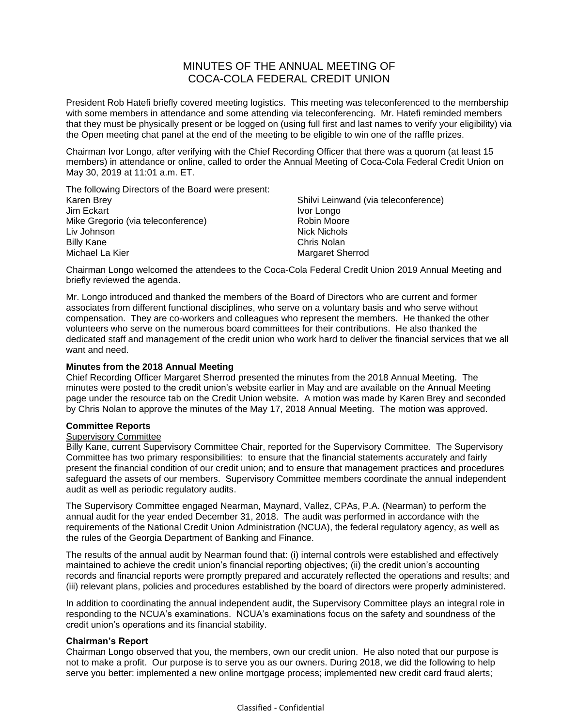# MINUTES OF THE ANNUAL MEETING OF COCA-COLA FEDERAL CREDIT UNION

President Rob Hatefi briefly covered meeting logistics. This meeting was teleconferenced to the membership with some members in attendance and some attending via teleconferencing. Mr. Hatefi reminded members that they must be physically present or be logged on (using full first and last names to verify your eligibility) via the Open meeting chat panel at the end of the meeting to be eligible to win one of the raffle prizes.

Chairman Ivor Longo, after verifying with the Chief Recording Officer that there was a quorum (at least 15 members) in attendance or online, called to order the Annual Meeting of Coca-Cola Federal Credit Union on May 30, 2019 at 11:01 a.m. ET.

The following Directors of the Board were present: Karen Brey Jim Eckart Mike Gregorio (via teleconference) Liv Johnson Billy Kane Michael La Kier

Shilvi Leinwand (via teleconference) Ivor Longo Robin Moore Nick Nichols Chris Nolan Margaret Sherrod

Chairman Longo welcomed the attendees to the Coca-Cola Federal Credit Union 2019 Annual Meeting and briefly reviewed the agenda.

Mr. Longo introduced and thanked the members of the Board of Directors who are current and former associates from different functional disciplines, who serve on a voluntary basis and who serve without compensation. They are co-workers and colleagues who represent the members. He thanked the other volunteers who serve on the numerous board committees for their contributions. He also thanked the dedicated staff and management of the credit union who work hard to deliver the financial services that we all want and need.

### **Minutes from the 2018 Annual Meeting**

Chief Recording Officer Margaret Sherrod presented the minutes from the 2018 Annual Meeting. The minutes were posted to the credit union's website earlier in May and are available on the Annual Meeting page under the resource tab on the Credit Union website. A motion was made by Karen Brey and seconded by Chris Nolan to approve the minutes of the May 17, 2018 Annual Meeting. The motion was approved.

### **Committee Reports**

# Supervisory Committee

Billy Kane, current Supervisory Committee Chair, reported for the Supervisory Committee. The Supervisory Committee has two primary responsibilities: to ensure that the financial statements accurately and fairly present the financial condition of our credit union; and to ensure that management practices and procedures safeguard the assets of our members. Supervisory Committee members coordinate the annual independent audit as well as periodic regulatory audits.

The Supervisory Committee engaged Nearman, Maynard, Vallez, CPAs, P.A. (Nearman) to perform the annual audit for the year ended December 31, 2018. The audit was performed in accordance with the requirements of the National Credit Union Administration (NCUA), the federal regulatory agency, as well as the rules of the Georgia Department of Banking and Finance.

The results of the annual audit by Nearman found that: (i) internal controls were established and effectively maintained to achieve the credit union's financial reporting objectives; (ii) the credit union's accounting records and financial reports were promptly prepared and accurately reflected the operations and results; and (iii) relevant plans, policies and procedures established by the board of directors were properly administered.

In addition to coordinating the annual independent audit, the Supervisory Committee plays an integral role in responding to the NCUA's examinations. NCUA's examinations focus on the safety and soundness of the credit union's operations and its financial stability.

# **Chairman's Report**

Chairman Longo observed that you, the members, own our credit union. He also noted that our purpose is not to make a profit. Our purpose is to serve you as our owners. During 2018, we did the following to help serve you better: implemented a new online mortgage process; implemented new credit card fraud alerts;